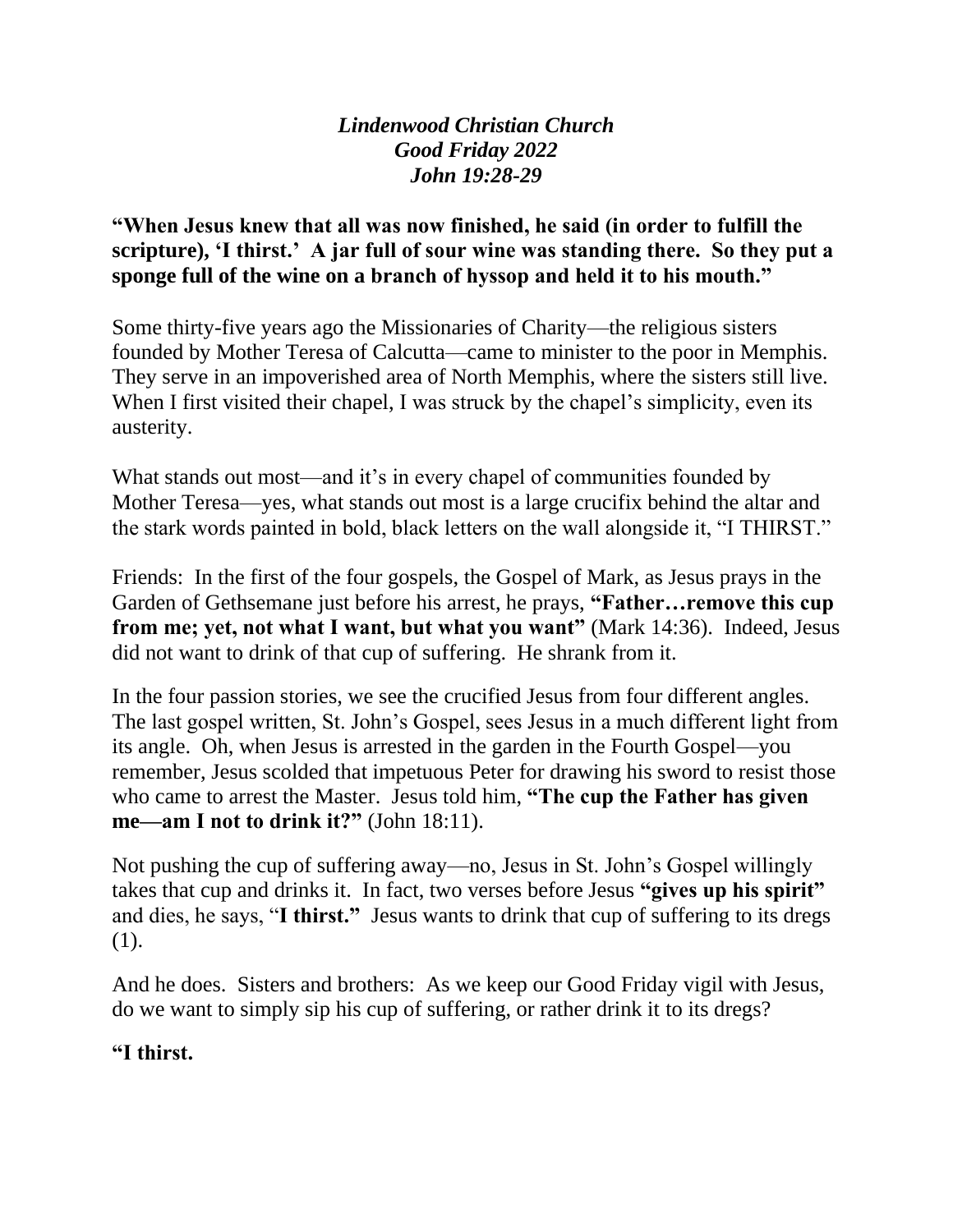*Lindenwood Christian Church Good Friday 2022 John 19:28-29*

**"When Jesus knew that all was now finished, he said (in order to fulfill the scripture), 'I thirst.' A jar full of sour wine was standing there. So they put a sponge full of the wine on a branch of hyssop and held it to his mouth."**

Some thirty-five years ago the Missionaries of Charity—the religious sisters founded by Mother Teresa of Calcutta—came to minister to the poor in Memphis. They serve in an impoverished area of North Memphis, where the sisters still live. When I first visited their chapel, I was struck by the chapel's simplicity, even its austerity.

What stands out most—and it's in every chapel of communities founded by Mother Teresa—yes, what stands out most is a large crucifix behind the altar and the stark words painted in bold, black letters on the wall alongside it, "I THIRST."

Friends: In the first of the four gospels, the Gospel of Mark, as Jesus prays in the Garden of Gethsemane just before his arrest, he prays, **"Father…remove this cup from me; yet, not what I want, but what you want"** (Mark 14:36). Indeed, Jesus did not want to drink of that cup of suffering. He shrank from it.

In the four passion stories, we see the crucified Jesus from four different angles. The last gospel written, St. John's Gospel, sees Jesus in a much different light from its angle. Oh, when Jesus is arrested in the garden in the Fourth Gospel—you remember, Jesus scolded that impetuous Peter for drawing his sword to resist those who came to arrest the Master. Jesus told him, **"The cup the Father has given me—am I not to drink it?"** (John 18:11).

Not pushing the cup of suffering away—no, Jesus in St. John's Gospel willingly takes that cup and drinks it. In fact, two verses before Jesus **"gives up his spirit"** and dies, he says, "**I thirst."** Jesus wants to drink that cup of suffering to its dregs (1).

And he does. Sisters and brothers: As we keep our Good Friday vigil with Jesus, do we want to simply sip his cup of suffering, or rather drink it to its dregs?

## **"I thirst.**